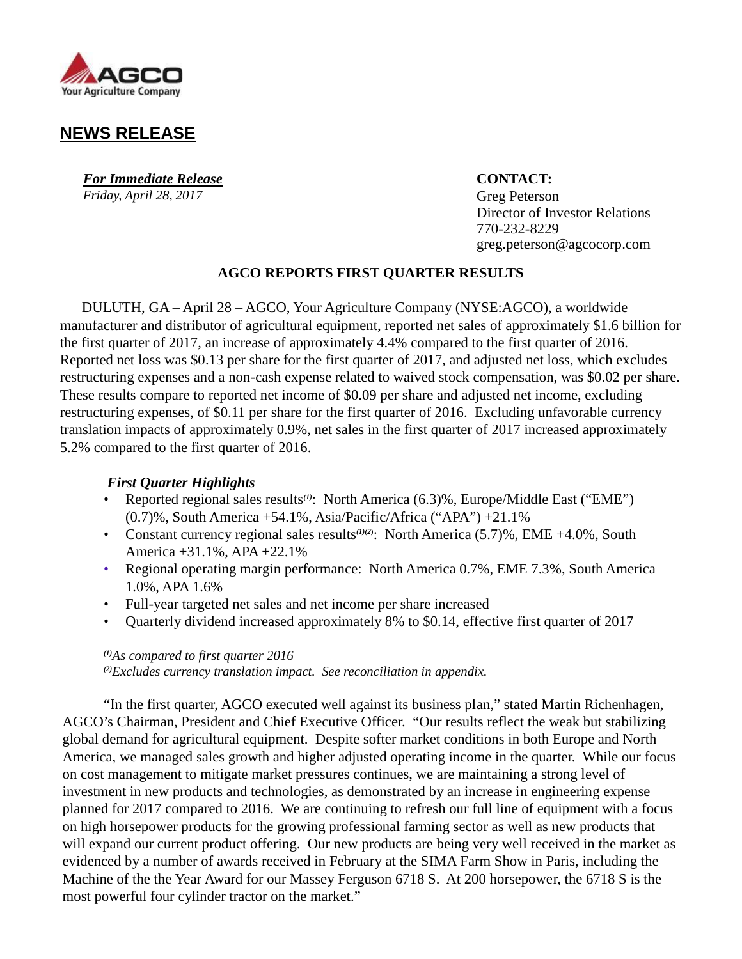

# **NEWS RELEASE**

**For Immediate Release CONTACT:** *Friday, April 28, 2017* Greg Peterson

Director of Investor Relations 770-232-8229 greg.peterson@agcocorp.com

## **AGCO REPORTS FIRST QUARTER RESULTS**

DULUTH, GA – April 28 – AGCO, Your Agriculture Company (NYSE:AGCO), a worldwide manufacturer and distributor of agricultural equipment, reported net sales of approximately \$1.6 billion for the first quarter of 2017, an increase of approximately 4.4% compared to the first quarter of 2016. Reported net loss was \$0.13 per share for the first quarter of 2017, and adjusted net loss, which excludes restructuring expenses and a non-cash expense related to waived stock compensation, was \$0.02 per share. These results compare to reported net income of \$0.09 per share and adjusted net income, excluding restructuring expenses, of \$0.11 per share for the first quarter of 2016. Excluding unfavorable currency translation impacts of approximately 0.9%, net sales in the first quarter of 2017 increased approximately 5.2% compared to the first quarter of 2016.

## *First Quarter Highlights*

- Reported regional sales results*(1)*: North America (6.3)%, Europe/Middle East ("EME") (0.7)%, South America +54.1%, Asia/Pacific/Africa ("APA") +21.1%
- Constant currency regional sales results<sup>(1)(2)</sup>: North America (5.7)%, EME +4.0%, South America +31.1%, APA +22.1%
- Regional operating margin performance: North America 0.7%, EME 7.3%, South America 1.0%, APA 1.6%
- Full-year targeted net sales and net income per share increased
- Quarterly dividend increased approximately 8% to \$0.14, effective first quarter of 2017

## *(1)As compared to first quarter 2016*

*(2)Excludes currency translation impact. See reconciliation in appendix.*

"In the first quarter, AGCO executed well against its business plan," stated Martin Richenhagen, AGCO's Chairman, President and Chief Executive Officer. "Our results reflect the weak but stabilizing global demand for agricultural equipment. Despite softer market conditions in both Europe and North America, we managed sales growth and higher adjusted operating income in the quarter. While our focus on cost management to mitigate market pressures continues, we are maintaining a strong level of investment in new products and technologies, as demonstrated by an increase in engineering expense planned for 2017 compared to 2016. We are continuing to refresh our full line of equipment with a focus on high horsepower products for the growing professional farming sector as well as new products that will expand our current product offering. Our new products are being very well received in the market as evidenced by a number of awards received in February at the SIMA Farm Show in Paris, including the Machine of the the Year Award for our Massey Ferguson 6718 S. At 200 horsepower, the 6718 S is the most powerful four cylinder tractor on the market."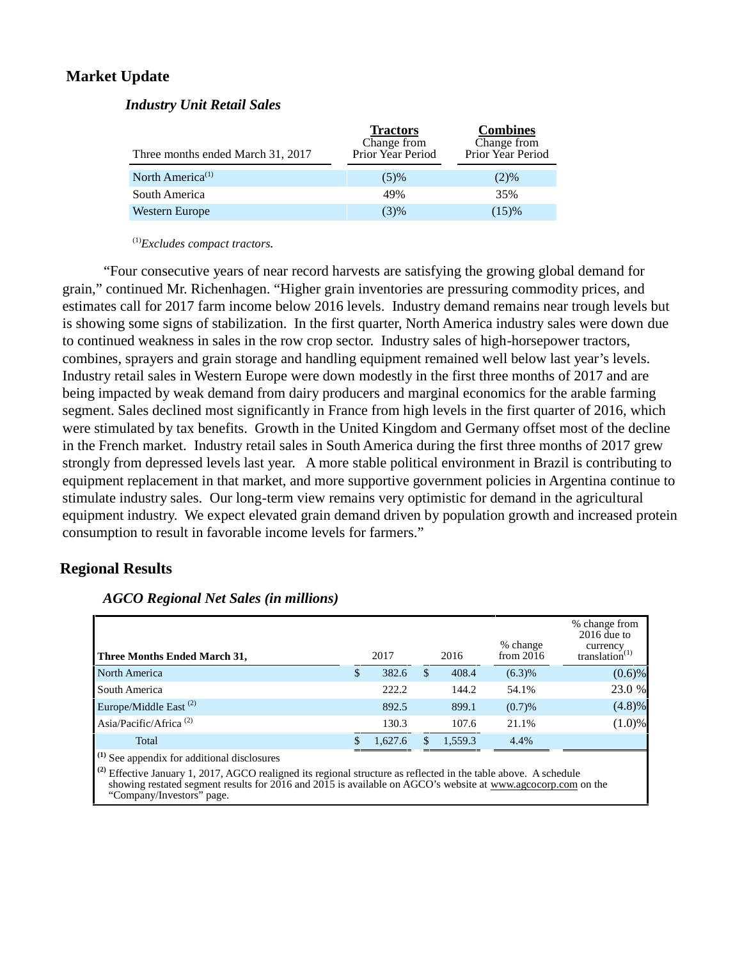## **Market Update**

| Three months ended March 31, 2017 | <b>Tractors</b><br>Change from<br>Prior Year Period | <b>Combines</b><br>Change from<br>Prior Year Period |
|-----------------------------------|-----------------------------------------------------|-----------------------------------------------------|
| North America <sup>(1)</sup>      | (5)%                                                | (2)%                                                |
| South America                     | 49%                                                 | 35%                                                 |
| Western Europe                    | (3)%                                                | $(15)$ %                                            |

#### *Industry Unit Retail Sales*

(1)*Excludes compact tractors.*

"Four consecutive years of near record harvests are satisfying the growing global demand for grain," continued Mr. Richenhagen. "Higher grain inventories are pressuring commodity prices, and estimates call for 2017 farm income below 2016 levels. Industry demand remains near trough levels but is showing some signs of stabilization. In the first quarter, North America industry sales were down due to continued weakness in sales in the row crop sector. Industry sales of high-horsepower tractors, combines, sprayers and grain storage and handling equipment remained well below last year's levels. Industry retail sales in Western Europe were down modestly in the first three months of 2017 and are being impacted by weak demand from dairy producers and marginal economics for the arable farming segment. Sales declined most significantly in France from high levels in the first quarter of 2016, which were stimulated by tax benefits. Growth in the United Kingdom and Germany offset most of the decline in the French market. Industry retail sales in South America during the first three months of 2017 grew strongly from depressed levels last year. A more stable political environment in Brazil is contributing to equipment replacement in that market, and more supportive government policies in Argentina continue to stimulate industry sales. Our long-term view remains very optimistic for demand in the agricultural equipment industry. We expect elevated grain demand driven by population growth and increased protein consumption to result in favorable income levels for farmers."

## **Regional Results**

| Three Months Ended March 31,       | 2017    |   | 2016    | % change<br>from $2016$ | % change from<br>$2016$ due to<br>currency<br>translation <sup><math>(1)</math></sup> |
|------------------------------------|---------|---|---------|-------------------------|---------------------------------------------------------------------------------------|
| North America                      | 382.6   | S | 408.4   | (6.3)%                  | (0.6)%                                                                                |
| South America                      | 222.2   |   | 144.2   | 54.1%                   | 23.0 %                                                                                |
| Europe/Middle East <sup>(2)</sup>  | 892.5   |   | 899.1   | (0.7)%                  | (4.8)%                                                                                |
| Asia/Pacific/Africa <sup>(2)</sup> | 130.3   |   | 107.6   | 21.1%                   | (1.0)%                                                                                |
| Total                              | 1,627.6 |   | 1,559.3 | 4.4%                    |                                                                                       |
|                                    |         |   |         |                         |                                                                                       |

*AGCO Regional Net Sales (in millions)*

**(1)** See appendix for additional disclosures

**(2)** Effective January 1, 2017, AGCO realigned its regional structure as reflected in the table above. A schedule showing restated segment results for 2016 and 2015 is available on AGCO's website at www.agcocorp.com on the "Company/Investors" page.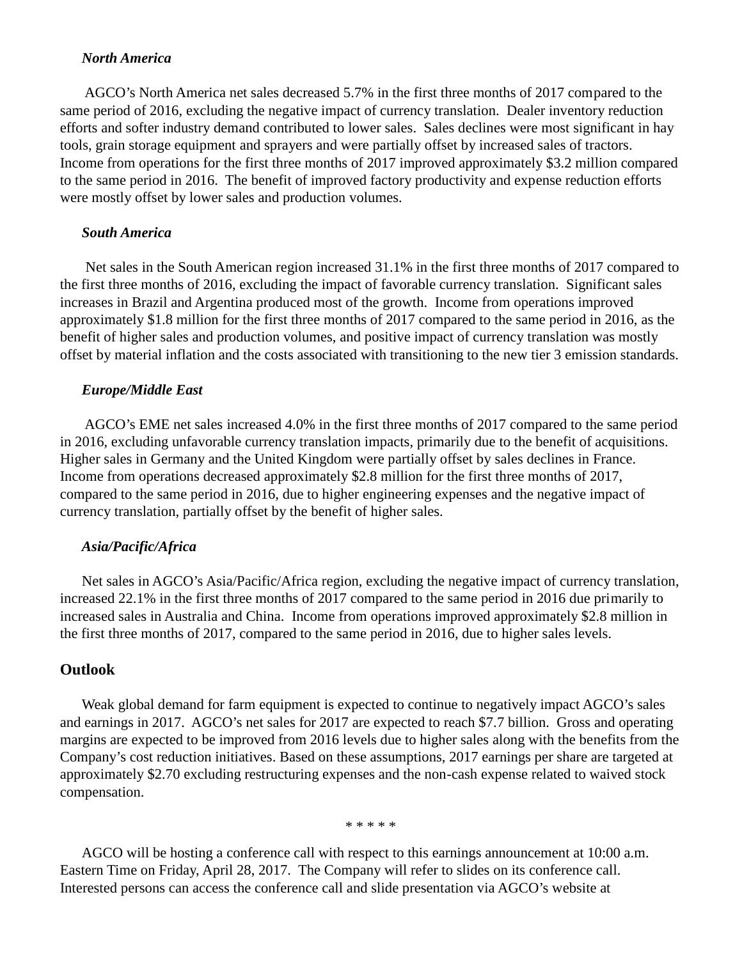### *North America*

AGCO's North America net sales decreased 5.7% in the first three months of 2017 compared to the same period of 2016, excluding the negative impact of currency translation. Dealer inventory reduction efforts and softer industry demand contributed to lower sales. Sales declines were most significant in hay tools, grain storage equipment and sprayers and were partially offset by increased sales of tractors. Income from operations for the first three months of 2017 improved approximately \$3.2 million compared to the same period in 2016. The benefit of improved factory productivity and expense reduction efforts were mostly offset by lower sales and production volumes.

## *South America*

Net sales in the South American region increased 31.1% in the first three months of 2017 compared to the first three months of 2016, excluding the impact of favorable currency translation. Significant sales increases in Brazil and Argentina produced most of the growth. Income from operations improved approximately \$1.8 million for the first three months of 2017 compared to the same period in 2016, as the benefit of higher sales and production volumes, and positive impact of currency translation was mostly offset by material inflation and the costs associated with transitioning to the new tier 3 emission standards.

#### *Europe/Middle East*

AGCO's EME net sales increased 4.0% in the first three months of 2017 compared to the same period in 2016, excluding unfavorable currency translation impacts, primarily due to the benefit of acquisitions. Higher sales in Germany and the United Kingdom were partially offset by sales declines in France. Income from operations decreased approximately \$2.8 million for the first three months of 2017, compared to the same period in 2016, due to higher engineering expenses and the negative impact of currency translation, partially offset by the benefit of higher sales.

### *Asia/Pacific/Africa*

Net sales in AGCO's Asia/Pacific/Africa region, excluding the negative impact of currency translation, increased 22.1% in the first three months of 2017 compared to the same period in 2016 due primarily to increased sales in Australia and China. Income from operations improved approximately \$2.8 million in the first three months of 2017, compared to the same period in 2016, due to higher sales levels.

### **Outlook**

Weak global demand for farm equipment is expected to continue to negatively impact AGCO's sales and earnings in 2017. AGCO's net sales for 2017 are expected to reach \$7.7 billion. Gross and operating margins are expected to be improved from 2016 levels due to higher sales along with the benefits from the Company's cost reduction initiatives. Based on these assumptions, 2017 earnings per share are targeted at approximately \$2.70 excluding restructuring expenses and the non-cash expense related to waived stock compensation.

\* \* \* \* \*

AGCO will be hosting a conference call with respect to this earnings announcement at 10:00 a.m. Eastern Time on Friday, April 28, 2017. The Company will refer to slides on its conference call. Interested persons can access the conference call and slide presentation via AGCO's website at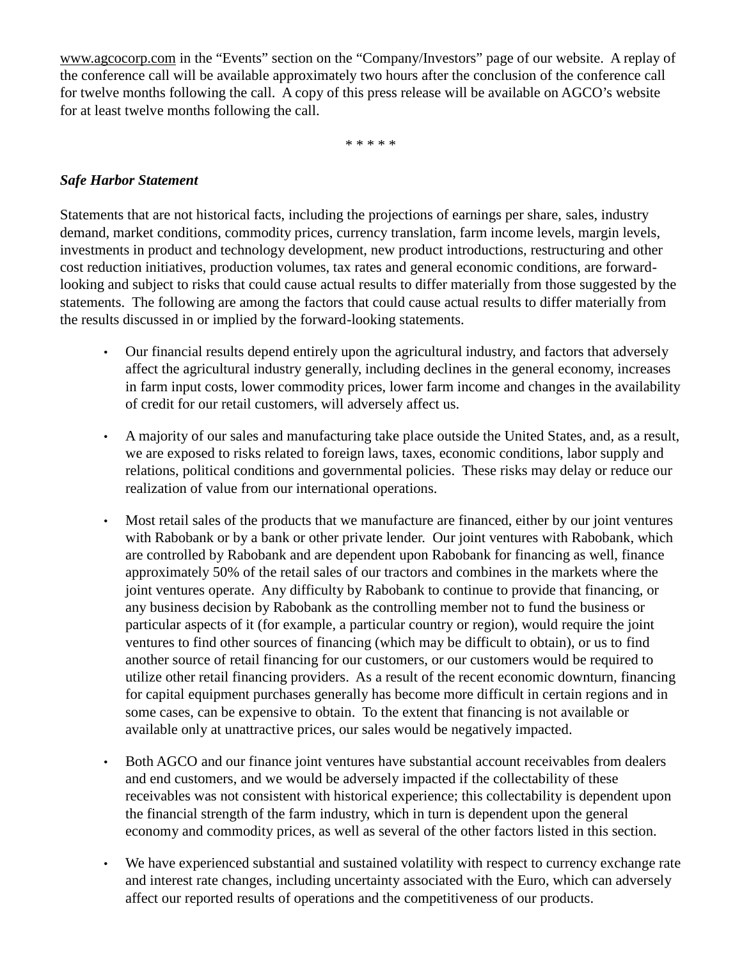www.agcocorp.com in the "Events" section on the "Company/Investors" page of our website. A replay of the conference call will be available approximately two hours after the conclusion of the conference call for twelve months following the call. A copy of this press release will be available on AGCO's website for at least twelve months following the call.

\* \* \* \* \*

## *Safe Harbor Statement*

Statements that are not historical facts, including the projections of earnings per share, sales, industry demand, market conditions, commodity prices, currency translation, farm income levels, margin levels, investments in product and technology development, new product introductions, restructuring and other cost reduction initiatives, production volumes, tax rates and general economic conditions, are forwardlooking and subject to risks that could cause actual results to differ materially from those suggested by the statements. The following are among the factors that could cause actual results to differ materially from the results discussed in or implied by the forward-looking statements.

- Our financial results depend entirely upon the agricultural industry, and factors that adversely affect the agricultural industry generally, including declines in the general economy, increases in farm input costs, lower commodity prices, lower farm income and changes in the availability of credit for our retail customers, will adversely affect us.
- A majority of our sales and manufacturing take place outside the United States, and, as a result, we are exposed to risks related to foreign laws, taxes, economic conditions, labor supply and relations, political conditions and governmental policies. These risks may delay or reduce our realization of value from our international operations.
- Most retail sales of the products that we manufacture are financed, either by our joint ventures with Rabobank or by a bank or other private lender. Our joint ventures with Rabobank, which are controlled by Rabobank and are dependent upon Rabobank for financing as well, finance approximately 50% of the retail sales of our tractors and combines in the markets where the joint ventures operate. Any difficulty by Rabobank to continue to provide that financing, or any business decision by Rabobank as the controlling member not to fund the business or particular aspects of it (for example, a particular country or region), would require the joint ventures to find other sources of financing (which may be difficult to obtain), or us to find another source of retail financing for our customers, or our customers would be required to utilize other retail financing providers. As a result of the recent economic downturn, financing for capital equipment purchases generally has become more difficult in certain regions and in some cases, can be expensive to obtain. To the extent that financing is not available or available only at unattractive prices, our sales would be negatively impacted.
- Both AGCO and our finance joint ventures have substantial account receivables from dealers and end customers, and we would be adversely impacted if the collectability of these receivables was not consistent with historical experience; this collectability is dependent upon the financial strength of the farm industry, which in turn is dependent upon the general economy and commodity prices, as well as several of the other factors listed in this section.
- We have experienced substantial and sustained volatility with respect to currency exchange rate and interest rate changes, including uncertainty associated with the Euro, which can adversely affect our reported results of operations and the competitiveness of our products.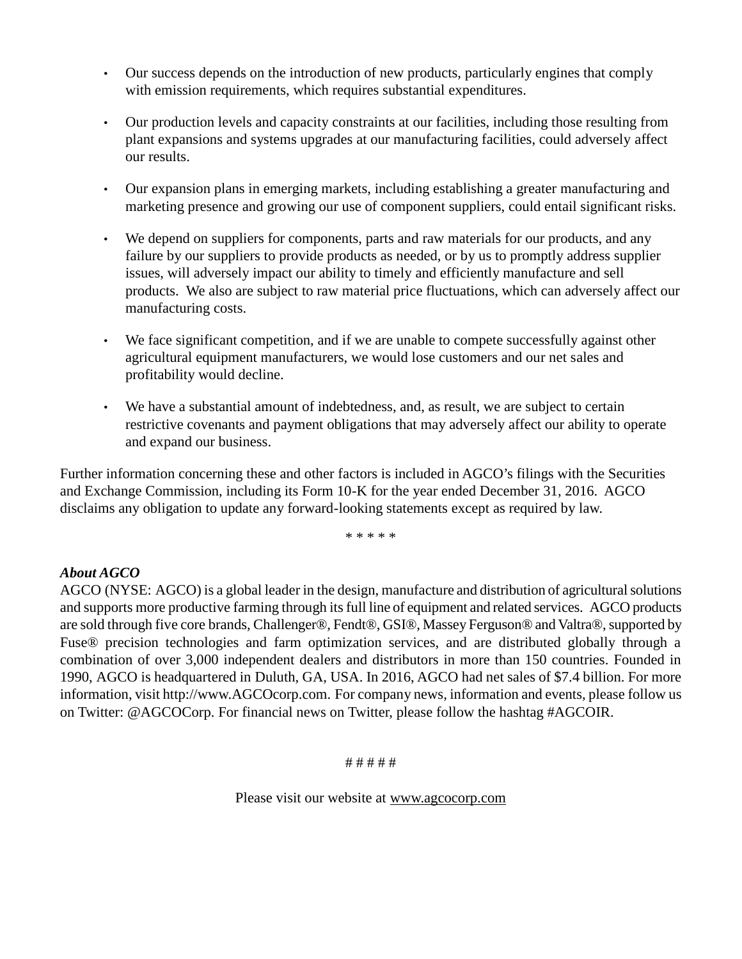- Our success depends on the introduction of new products, particularly engines that comply with emission requirements, which requires substantial expenditures.
- Our production levels and capacity constraints at our facilities, including those resulting from plant expansions and systems upgrades at our manufacturing facilities, could adversely affect our results.
- Our expansion plans in emerging markets, including establishing a greater manufacturing and marketing presence and growing our use of component suppliers, could entail significant risks.
- We depend on suppliers for components, parts and raw materials for our products, and any failure by our suppliers to provide products as needed, or by us to promptly address supplier issues, will adversely impact our ability to timely and efficiently manufacture and sell products. We also are subject to raw material price fluctuations, which can adversely affect our manufacturing costs.
- We face significant competition, and if we are unable to compete successfully against other agricultural equipment manufacturers, we would lose customers and our net sales and profitability would decline.
- We have a substantial amount of indebtedness, and, as result, we are subject to certain restrictive covenants and payment obligations that may adversely affect our ability to operate and expand our business.

Further information concerning these and other factors is included in AGCO's filings with the Securities and Exchange Commission, including its Form 10-K for the year ended December 31, 2016. AGCO disclaims any obligation to update any forward-looking statements except as required by law.

\* \* \* \* \*

## *About AGCO*

AGCO (NYSE: AGCO) is a global leader in the design, manufacture and distribution of agricultural solutions and supports more productive farming through its full line of equipment and related services. AGCO products are sold through five core brands, Challenger®, Fendt®, GSI®, Massey Ferguson® and Valtra®, supported by Fuse® precision technologies and farm optimization services, and are distributed globally through a combination of over 3,000 independent dealers and distributors in more than 150 countries. Founded in 1990, AGCO is headquartered in Duluth, GA, USA. In 2016, AGCO had net sales of \$7.4 billion. For more information, visit http://www.AGCOcorp.com. For company news, information and events, please follow us on Twitter: @AGCOCorp. For financial news on Twitter, please follow the hashtag #AGCOIR.

# # # # #

Please visit our website at www.agcocorp.com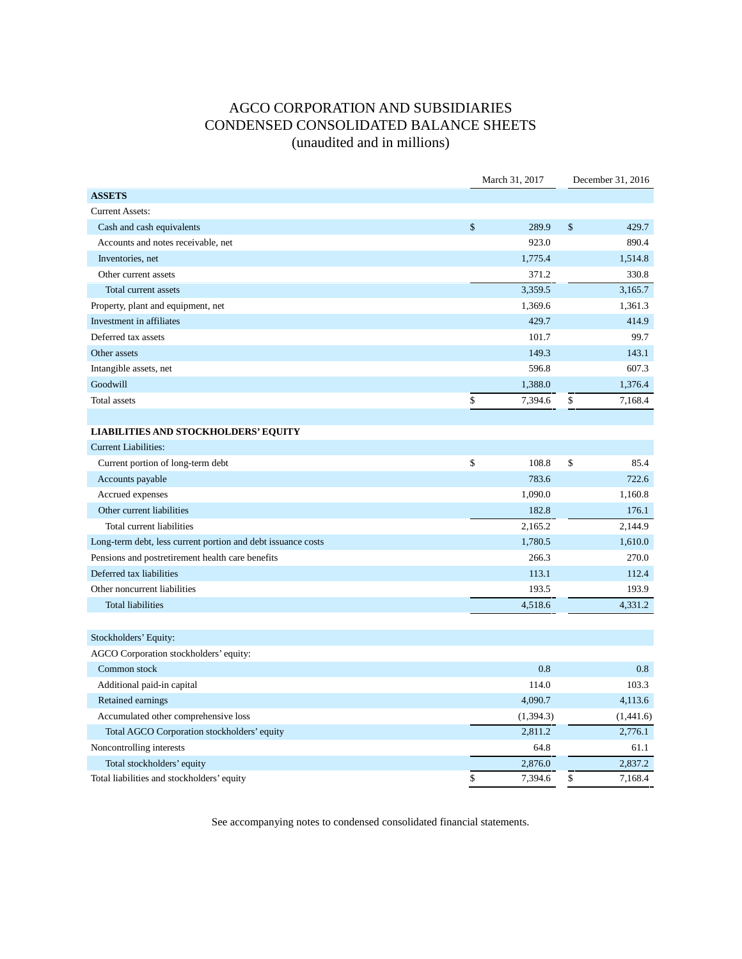## AGCO CORPORATION AND SUBSIDIARIES CONDENSED CONSOLIDATED BALANCE SHEETS (unaudited and in millions)

|                                                              | March 31, 2017 | December 31, 2016 |
|--------------------------------------------------------------|----------------|-------------------|
| <b>ASSETS</b>                                                |                |                   |
| <b>Current Assets:</b>                                       |                |                   |
| Cash and cash equivalents                                    | \$<br>289.9    | \$<br>429.7       |
| Accounts and notes receivable, net                           | 923.0          | 890.4             |
| Inventories, net                                             | 1,775.4        | 1,514.8           |
| Other current assets                                         | 371.2          | 330.8             |
| Total current assets                                         | 3,359.5        | 3,165.7           |
| Property, plant and equipment, net                           | 1,369.6        | 1,361.3           |
| Investment in affiliates                                     | 429.7          | 414.9             |
| Deferred tax assets                                          | 101.7          | 99.7              |
| Other assets                                                 | 149.3          | 143.1             |
| Intangible assets, net                                       | 596.8          | 607.3             |
| Goodwill                                                     | 1,388.0        | 1,376.4           |
| <b>Total assets</b>                                          | \$<br>7,394.6  | \$<br>7,168.4     |
|                                                              |                |                   |
| <b>LIABILITIES AND STOCKHOLDERS' EQUITY</b>                  |                |                   |
| <b>Current Liabilities:</b>                                  |                |                   |
| Current portion of long-term debt                            | \$<br>108.8    | \$<br>85.4        |
| Accounts payable                                             | 783.6          | 722.6             |
| Accrued expenses                                             | 1,090.0        | 1,160.8           |
| Other current liabilities                                    | 182.8          | 176.1             |
| Total current liabilities                                    | 2,165.2        | 2,144.9           |
| Long-term debt, less current portion and debt issuance costs | 1,780.5        | 1,610.0           |
| Pensions and postretirement health care benefits             | 266.3          | 270.0             |
| Deferred tax liabilities                                     | 113.1          | 112.4             |
| Other noncurrent liabilities                                 | 193.5          | 193.9             |
| <b>Total liabilities</b>                                     | 4,518.6        | 4,331.2           |
|                                                              |                |                   |
| Stockholders' Equity:                                        |                |                   |
| AGCO Corporation stockholders' equity:                       |                |                   |
| Common stock                                                 | 0.8            | 0.8               |
| Additional paid-in capital                                   | 114.0          | 103.3             |
| Retained earnings                                            | 4,090.7        | 4,113.6           |
| Accumulated other comprehensive loss                         | (1,394.3)      | (1,441.6)         |
| Total AGCO Corporation stockholders' equity                  | 2,811.2        | 2,776.1           |
| Noncontrolling interests                                     | 64.8           | 61.1              |
| Total stockholders' equity                                   | 2,876.0        | 2,837.2           |
| Total liabilities and stockholders' equity                   | \$<br>7,394.6  | \$<br>7,168.4     |

See accompanying notes to condensed consolidated financial statements.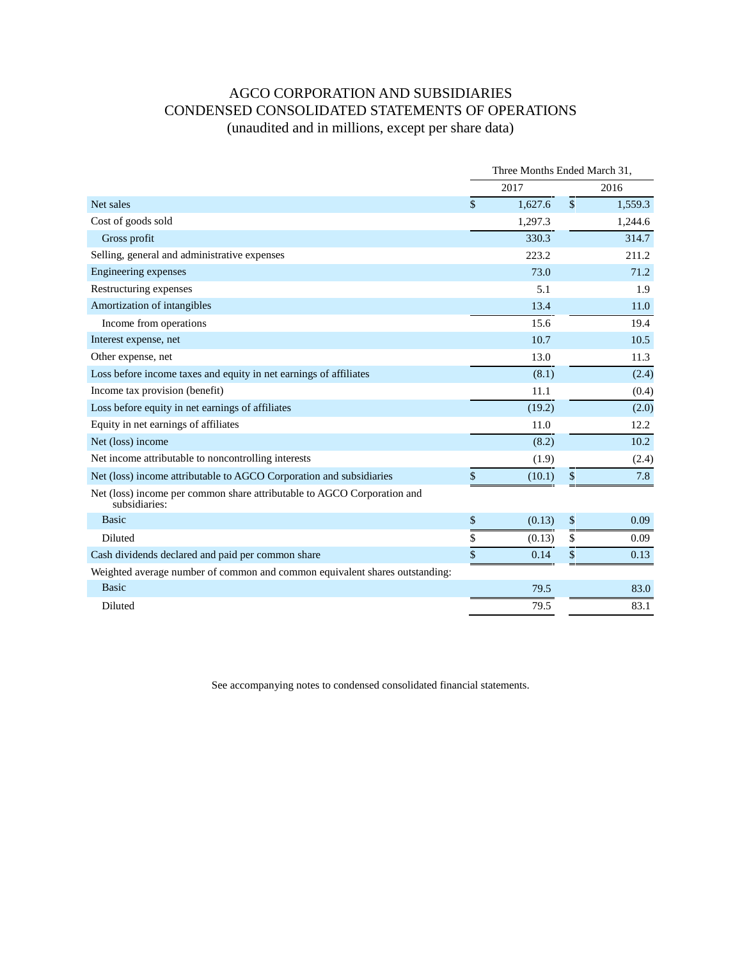## AGCO CORPORATION AND SUBSIDIARIES CONDENSED CONSOLIDATED STATEMENTS OF OPERATIONS (unaudited and in millions, except per share data)

|                                                                                          |               | Three Months Ended March 31. |                                |         |
|------------------------------------------------------------------------------------------|---------------|------------------------------|--------------------------------|---------|
|                                                                                          |               | 2017                         |                                | 2016    |
| Net sales                                                                                | $\mathcal{S}$ | 1,627.6                      | $\mathsf{\$}$                  | 1,559.3 |
| Cost of goods sold                                                                       |               | 1,297.3                      |                                | 1,244.6 |
| Gross profit                                                                             |               | 330.3                        |                                | 314.7   |
| Selling, general and administrative expenses                                             |               | 223.2                        |                                | 211.2   |
| Engineering expenses                                                                     |               | 73.0                         |                                | 71.2    |
| Restructuring expenses                                                                   |               | 5.1                          |                                | 1.9     |
| Amortization of intangibles                                                              |               | 13.4                         |                                | 11.0    |
| Income from operations                                                                   |               | 15.6                         |                                | 19.4    |
| Interest expense, net                                                                    |               | 10.7                         |                                | 10.5    |
| Other expense, net                                                                       |               | 13.0                         |                                | 11.3    |
| Loss before income taxes and equity in net earnings of affiliates                        |               | (8.1)                        |                                | (2.4)   |
| Income tax provision (benefit)                                                           |               | 11.1                         |                                | (0.4)   |
| Loss before equity in net earnings of affiliates                                         |               | (19.2)                       |                                | (2.0)   |
| Equity in net earnings of affiliates                                                     |               | 11.0                         |                                | 12.2    |
| Net (loss) income                                                                        |               | (8.2)                        |                                | 10.2    |
| Net income attributable to noncontrolling interests                                      |               | (1.9)                        |                                | (2.4)   |
| Net (loss) income attributable to AGCO Corporation and subsidiaries                      | \$            | (10.1)                       | \$                             | 7.8     |
| Net (loss) income per common share attributable to AGCO Corporation and<br>subsidiaries: |               |                              |                                |         |
| <b>Basic</b>                                                                             | \$            | (0.13)                       | \$                             | 0.09    |
| Diluted                                                                                  | \$            | (0.13)                       | \$                             | 0.09    |
| Cash dividends declared and paid per common share                                        | \$            | 0.14                         | $\overline{\phantom{0}}$<br>\$ | 0.13    |
| Weighted average number of common and common equivalent shares outstanding:              |               |                              |                                |         |
| <b>Basic</b>                                                                             |               | 79.5                         |                                | 83.0    |
| Diluted                                                                                  |               | 79.5                         |                                | 83.1    |

See accompanying notes to condensed consolidated financial statements.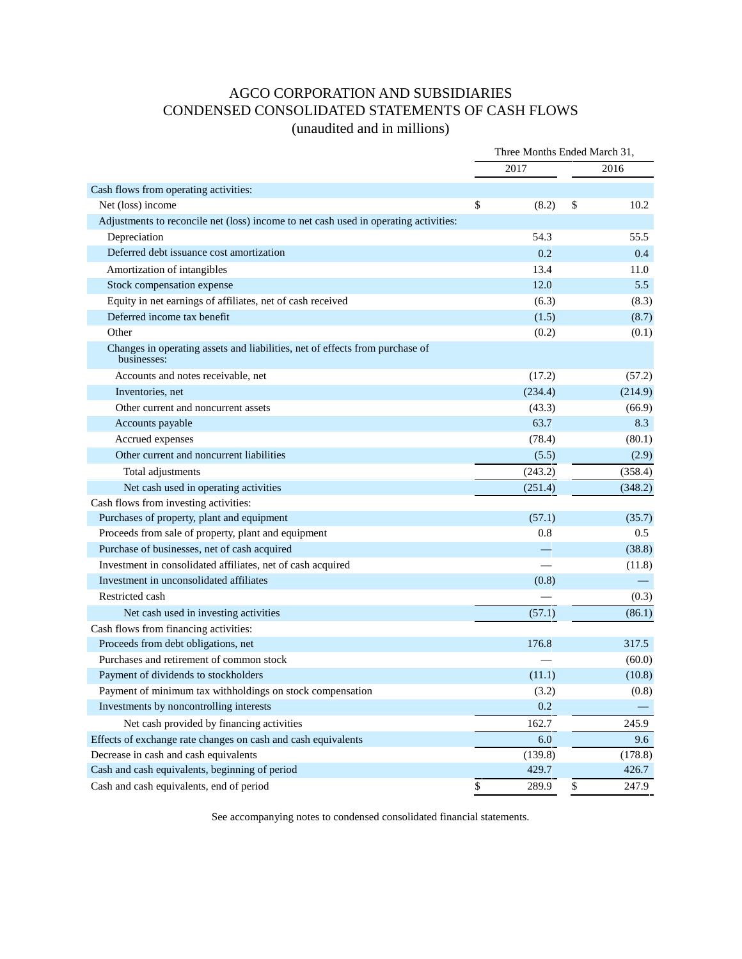# AGCO CORPORATION AND SUBSIDIARIES CONDENSED CONSOLIDATED STATEMENTS OF CASH FLOWS

(unaudited and in millions)

|                                                                                             | Three Months Ended March 31, |    |         |  |  |
|---------------------------------------------------------------------------------------------|------------------------------|----|---------|--|--|
|                                                                                             | 2017                         |    | 2016    |  |  |
| Cash flows from operating activities:                                                       |                              |    |         |  |  |
| Net (loss) income                                                                           | \$<br>(8.2)                  | \$ | 10.2    |  |  |
| Adjustments to reconcile net (loss) income to net cash used in operating activities:        |                              |    |         |  |  |
| Depreciation                                                                                | 54.3                         |    | 55.5    |  |  |
| Deferred debt issuance cost amortization                                                    | 0.2                          |    | 0.4     |  |  |
| Amortization of intangibles                                                                 | 13.4                         |    | 11.0    |  |  |
| Stock compensation expense                                                                  | 12.0                         |    | 5.5     |  |  |
| Equity in net earnings of affiliates, net of cash received                                  | (6.3)                        |    | (8.3)   |  |  |
| Deferred income tax benefit                                                                 | (1.5)                        |    | (8.7)   |  |  |
| Other                                                                                       | (0.2)                        |    | (0.1)   |  |  |
| Changes in operating assets and liabilities, net of effects from purchase of<br>businesses: |                              |    |         |  |  |
| Accounts and notes receivable, net                                                          | (17.2)                       |    | (57.2)  |  |  |
| Inventories, net                                                                            | (234.4)                      |    | (214.9) |  |  |
| Other current and noncurrent assets                                                         | (43.3)                       |    | (66.9)  |  |  |
| Accounts payable                                                                            | 63.7                         |    | 8.3     |  |  |
| Accrued expenses                                                                            | (78.4)                       |    | (80.1)  |  |  |
| Other current and noncurrent liabilities                                                    | (5.5)                        |    | (2.9)   |  |  |
| Total adjustments                                                                           | (243.2)                      |    | (358.4) |  |  |
| Net cash used in operating activities                                                       | (251.4)                      |    | (348.2) |  |  |
| Cash flows from investing activities:                                                       |                              |    |         |  |  |
| Purchases of property, plant and equipment                                                  | (57.1)                       |    | (35.7)  |  |  |
| Proceeds from sale of property, plant and equipment                                         | 0.8                          |    | 0.5     |  |  |
| Purchase of businesses, net of cash acquired                                                |                              |    | (38.8)  |  |  |
| Investment in consolidated affiliates, net of cash acquired                                 |                              |    | (11.8)  |  |  |
| Investment in unconsolidated affiliates                                                     | (0.8)                        |    |         |  |  |
| Restricted cash                                                                             |                              |    | (0.3)   |  |  |
| Net cash used in investing activities                                                       | (57.1)                       |    | (86.1)  |  |  |
| Cash flows from financing activities:                                                       |                              |    |         |  |  |
| Proceeds from debt obligations, net                                                         | 176.8                        |    | 317.5   |  |  |
| Purchases and retirement of common stock                                                    |                              |    | (60.0)  |  |  |
| Payment of dividends to stockholders                                                        | (11.1)                       |    | (10.8)  |  |  |
| Payment of minimum tax withholdings on stock compensation                                   | (3.2)                        |    | (0.8)   |  |  |
| Investments by noncontrolling interests                                                     | 0.2                          |    |         |  |  |
| Net cash provided by financing activities                                                   | 162.7                        |    | 245.9   |  |  |
| Effects of exchange rate changes on cash and cash equivalents                               | 6.0                          |    | 9.6     |  |  |
| Decrease in cash and cash equivalents                                                       | (139.8)                      |    | (178.8) |  |  |
| Cash and cash equivalents, beginning of period                                              | 429.7                        |    | 426.7   |  |  |
| Cash and cash equivalents, end of period                                                    | \$<br>289.9                  | \$ | 247.9   |  |  |

See accompanying notes to condensed consolidated financial statements.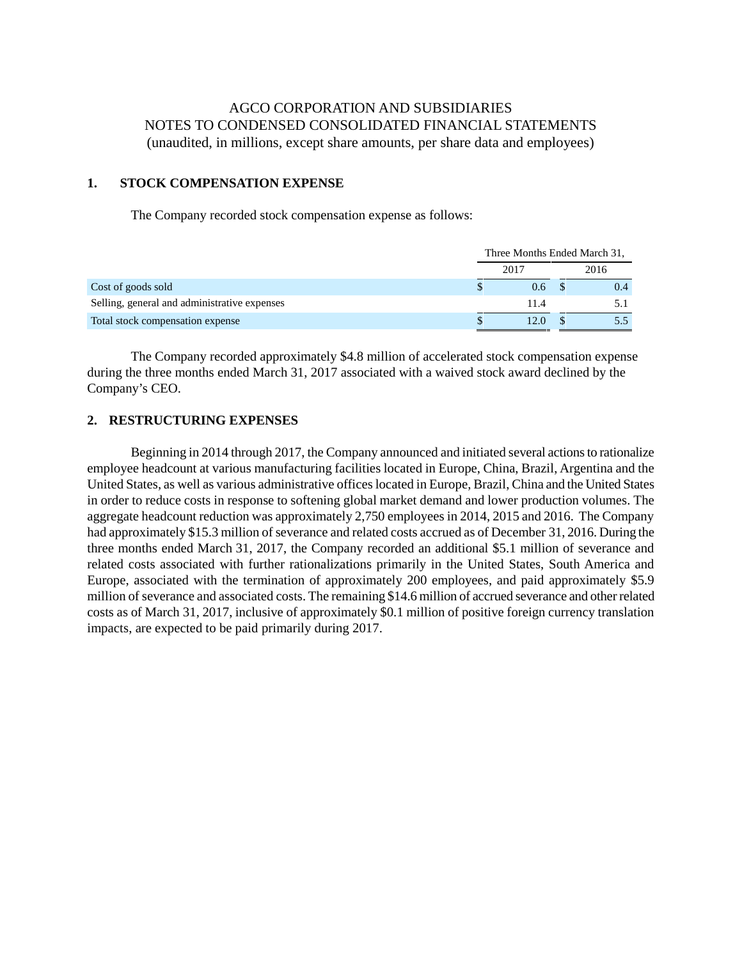## AGCO CORPORATION AND SUBSIDIARIES NOTES TO CONDENSED CONSOLIDATED FINANCIAL STATEMENTS (unaudited, in millions, except share amounts, per share data and employees)

### **1. STOCK COMPENSATION EXPENSE**

The Company recorded stock compensation expense as follows:

|                                              | Three Months Ended March 31, |      |  |      |  |  |
|----------------------------------------------|------------------------------|------|--|------|--|--|
|                                              |                              | 2017 |  | 2016 |  |  |
| Cost of goods sold                           |                              | 0.6  |  | 0.4  |  |  |
| Selling, general and administrative expenses |                              | 11.4 |  |      |  |  |
| Total stock compensation expense             |                              | 12.0 |  | D.D  |  |  |

The Company recorded approximately \$4.8 million of accelerated stock compensation expense during the three months ended March 31, 2017 associated with a waived stock award declined by the Company's CEO.

## **2. RESTRUCTURING EXPENSES**

Beginning in 2014 through 2017, the Company announced and initiated several actions to rationalize employee headcount at various manufacturing facilities located in Europe, China, Brazil, Argentina and the United States, as well as various administrative offices located in Europe, Brazil, China and the United States in order to reduce costs in response to softening global market demand and lower production volumes. The aggregate headcount reduction was approximately 2,750 employees in 2014, 2015 and 2016. The Company had approximately \$15.3 million of severance and related costs accrued as of December 31, 2016. During the three months ended March 31, 2017, the Company recorded an additional \$5.1 million of severance and related costs associated with further rationalizations primarily in the United States, South America and Europe, associated with the termination of approximately 200 employees, and paid approximately \$5.9 million of severance and associated costs. The remaining \$14.6 million of accrued severance and other related costs as of March 31, 2017, inclusive of approximately \$0.1 million of positive foreign currency translation impacts, are expected to be paid primarily during 2017.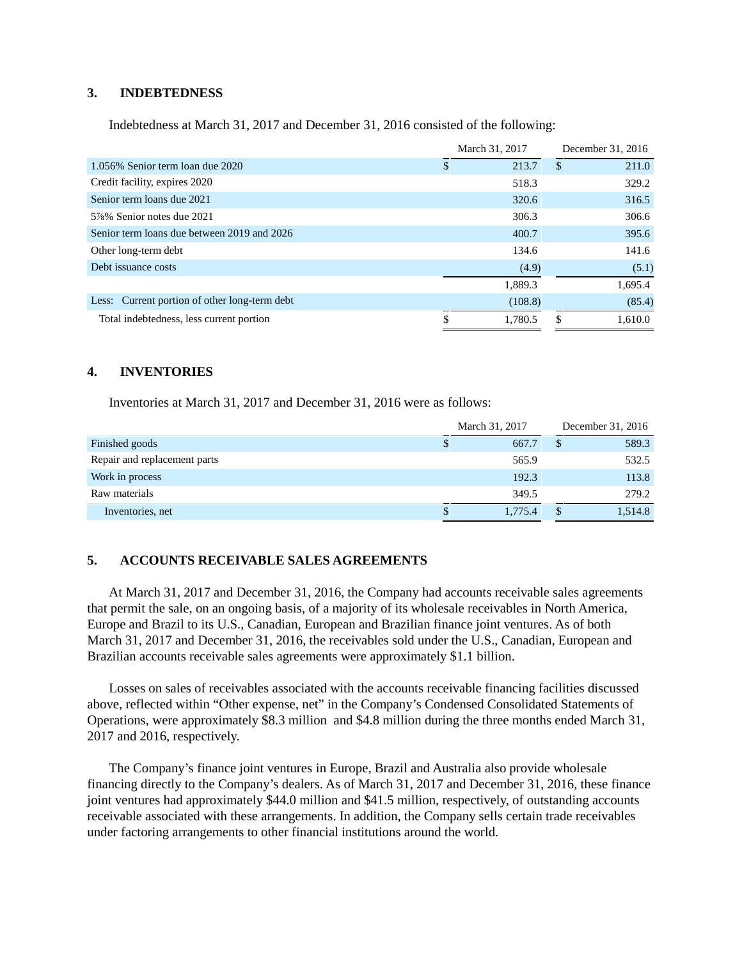#### **3. INDEBTEDNESS**

Indebtedness at March 31, 2017 and December 31, 2016 consisted of the following:

|                                               |    | March 31, 2017 |    | December 31, 2016 |
|-----------------------------------------------|----|----------------|----|-------------------|
| 1.056% Senior term loan due 2020              | \$ | 213.7          | S  | 211.0             |
| Credit facility, expires 2020                 |    | 518.3          |    | 329.2             |
| Senior term loans due 2021                    |    | 320.6          |    | 316.5             |
| 5 % Senior notes due 2021                     |    | 306.3          |    | 306.6             |
| Senior term loans due between 2019 and 2026   |    | 400.7          |    | 395.6             |
| Other long-term debt                          |    | 134.6          |    | 141.6             |
| Debt issuance costs                           |    | (4.9)          |    | (5.1)             |
|                                               |    | 1,889.3        |    | 1,695.4           |
| Less: Current portion of other long-term debt |    | (108.8)        |    | (85.4)            |
| Total indebtedness, less current portion      | D  | 1.780.5        | \$ | 1.610.0           |

#### **4. INVENTORIES**

Inventories at March 31, 2017 and December 31, 2016 were as follows:

|                              | March 31, 2017 | December 31, 2016 |
|------------------------------|----------------|-------------------|
| Finished goods               | \$<br>667.7    | 589.3             |
| Repair and replacement parts | 565.9          | 532.5             |
| Work in process              | 192.3          | 113.8             |
| Raw materials                | 349.5          | 279.2             |
| Inventories, net             | \$<br>1.775.4  | 1,514.8           |

## **5. ACCOUNTS RECEIVABLE SALES AGREEMENTS**

At March 31, 2017 and December 31, 2016, the Company had accounts receivable sales agreements that permit the sale, on an ongoing basis, of a majority of its wholesale receivables in North America, Europe and Brazil to its U.S., Canadian, European and Brazilian finance joint ventures. As of both March 31, 2017 and December 31, 2016, the receivables sold under the U.S., Canadian, European and Brazilian accounts receivable sales agreements were approximately \$1.1 billion.

Losses on sales of receivables associated with the accounts receivable financing facilities discussed above, reflected within "Other expense, net" in the Company's Condensed Consolidated Statements of Operations, were approximately \$8.3 million and \$4.8 million during the three months ended March 31, 2017 and 2016, respectively.

The Company's finance joint ventures in Europe, Brazil and Australia also provide wholesale financing directly to the Company's dealers. As of March 31, 2017 and December 31, 2016, these finance joint ventures had approximately \$44.0 million and \$41.5 million, respectively, of outstanding accounts receivable associated with these arrangements. In addition, the Company sells certain trade receivables under factoring arrangements to other financial institutions around the world.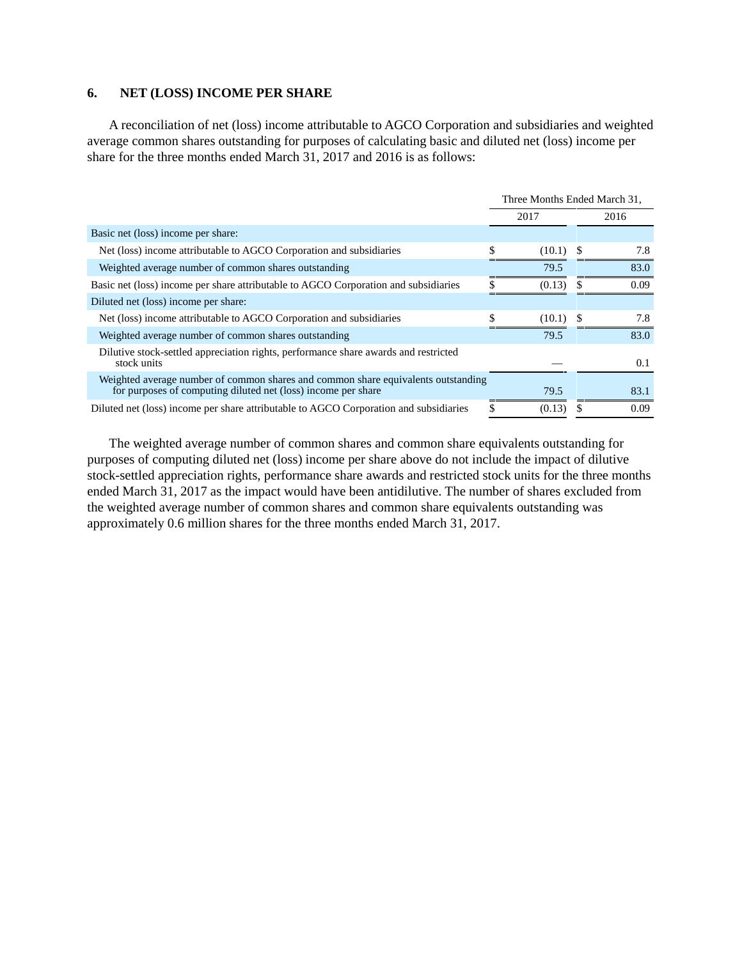#### **6. NET (LOSS) INCOME PER SHARE**

A reconciliation of net (loss) income attributable to AGCO Corporation and subsidiaries and weighted average common shares outstanding for purposes of calculating basic and diluted net (loss) income per share for the three months ended March 31, 2017 and 2016 is as follows:

|                                                                                                                                                    | Three Months Ended March 31, |      |  |
|----------------------------------------------------------------------------------------------------------------------------------------------------|------------------------------|------|--|
|                                                                                                                                                    | 2017                         | 2016 |  |
| Basic net (loss) income per share:                                                                                                                 |                              |      |  |
| Net (loss) income attributable to AGCO Corporation and subsidiaries                                                                                | (10.1)                       | 7.8  |  |
| Weighted average number of common shares outstanding                                                                                               | 79.5                         | 83.0 |  |
| Basic net (loss) income per share attributable to AGCO Corporation and subsidiaries                                                                | (0.13)                       | 0.09 |  |
| Diluted net (loss) income per share:                                                                                                               |                              |      |  |
| Net (loss) income attributable to AGCO Corporation and subsidiaries                                                                                | \$<br>$(10.1)$ \$            | 7.8  |  |
| Weighted average number of common shares outstanding                                                                                               | 79.5                         | 83.0 |  |
| Dilutive stock-settled appreciation rights, performance share awards and restricted<br>stock units                                                 |                              | 0.1  |  |
| Weighted average number of common shares and common share equivalents outstanding<br>for purposes of computing diluted net (loss) income per share | 79.5                         | 83.1 |  |
| Diluted net (loss) income per share attributable to AGCO Corporation and subsidiaries                                                              | (0.13)                       | 0.09 |  |
|                                                                                                                                                    |                              |      |  |

The weighted average number of common shares and common share equivalents outstanding for purposes of computing diluted net (loss) income per share above do not include the impact of dilutive stock-settled appreciation rights, performance share awards and restricted stock units for the three months ended March 31, 2017 as the impact would have been antidilutive. The number of shares excluded from the weighted average number of common shares and common share equivalents outstanding was approximately 0.6 million shares for the three months ended March 31, 2017.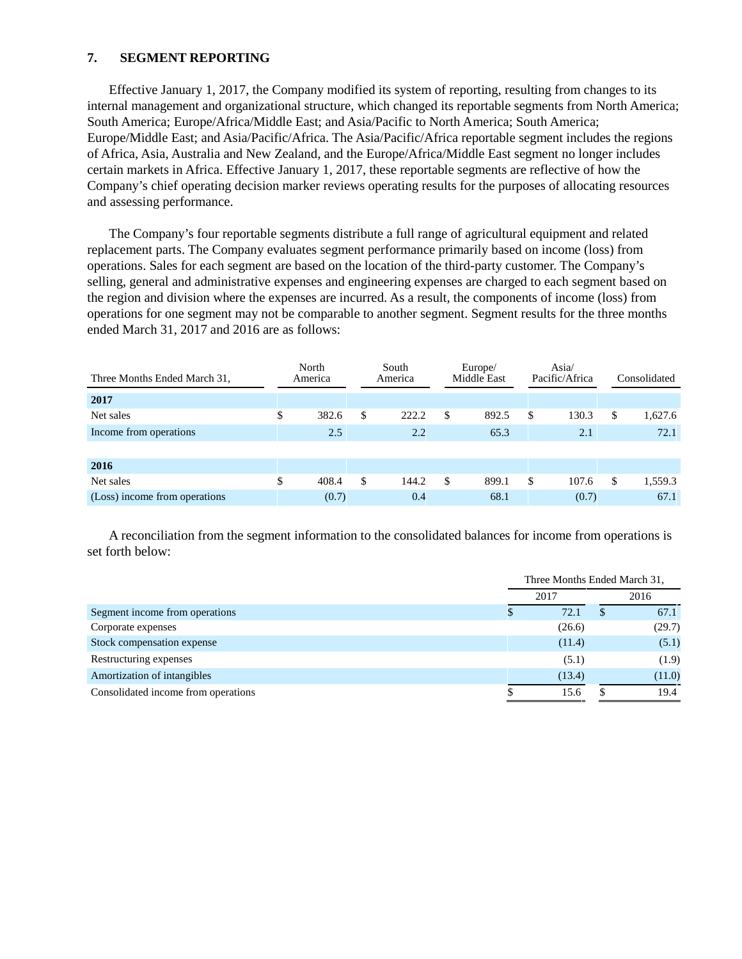#### **7. SEGMENT REPORTING**

Effective January 1, 2017, the Company modified its system of reporting, resulting from changes to its internal management and organizational structure, which changed its reportable segments from North America; South America; Europe/Africa/Middle East; and Asia/Pacific to North America; South America; Europe/Middle East; and Asia/Pacific/Africa. The Asia/Pacific/Africa reportable segment includes the regions of Africa, Asia, Australia and New Zealand, and the Europe/Africa/Middle East segment no longer includes certain markets in Africa. Effective January 1, 2017, these reportable segments are reflective of how the Company's chief operating decision marker reviews operating results for the purposes of allocating resources and assessing performance.

The Company's four reportable segments distribute a full range of agricultural equipment and related replacement parts. The Company evaluates segment performance primarily based on income (loss) from operations. Sales for each segment are based on the location of the third-party customer. The Company's selling, general and administrative expenses and engineering expenses are charged to each segment based on the region and division where the expenses are incurred. As a result, the components of income (loss) from operations for one segment may not be comparable to another segment. Segment results for the three months ended March 31, 2017 and 2016 are as follows:

| Three Months Ended March 31,  | North<br>America |     | South<br>America |     | Europe/<br>Middle East |    | Asia/<br>Pacific/Africa |   | Consolidated |
|-------------------------------|------------------|-----|------------------|-----|------------------------|----|-------------------------|---|--------------|
| 2017                          |                  |     |                  |     |                        |    |                         |   |              |
| Net sales                     | \$<br>382.6      | \$. | 222.2            | S   | 892.5                  | S  | 130.3                   | S | 1,627.6      |
| Income from operations        | 2.5              |     | 2.2              |     | 65.3                   |    | 2.1                     |   | 72.1         |
|                               |                  |     |                  |     |                        |    |                         |   |              |
| 2016                          |                  |     |                  |     |                        |    |                         |   |              |
| Net sales                     | \$<br>408.4      | \$. | 144.2            | \$. | 899.1                  | \$ | 107.6                   | S | 1,559.3      |
| (Loss) income from operations | (0.7)            |     | 0.4              |     | 68.1                   |    | (0.7)                   |   | 67.1         |

A reconciliation from the segment information to the consolidated balances for income from operations is set forth below:

|                                     |              | Three Months Ended March 31, |               |        |
|-------------------------------------|--------------|------------------------------|---------------|--------|
|                                     | 2017<br>2016 |                              |               |        |
| Segment income from operations      |              | 72.1                         | <sup>\$</sup> | 67.1   |
| Corporate expenses                  |              | (26.6)                       |               | (29.7) |
| Stock compensation expense          |              | (11.4)                       |               | (5.1)  |
| Restructuring expenses              |              | (5.1)                        |               | (1.9)  |
| Amortization of intangibles         |              | (13.4)                       |               | (11.0) |
| Consolidated income from operations |              | 15.6                         |               | 19.4   |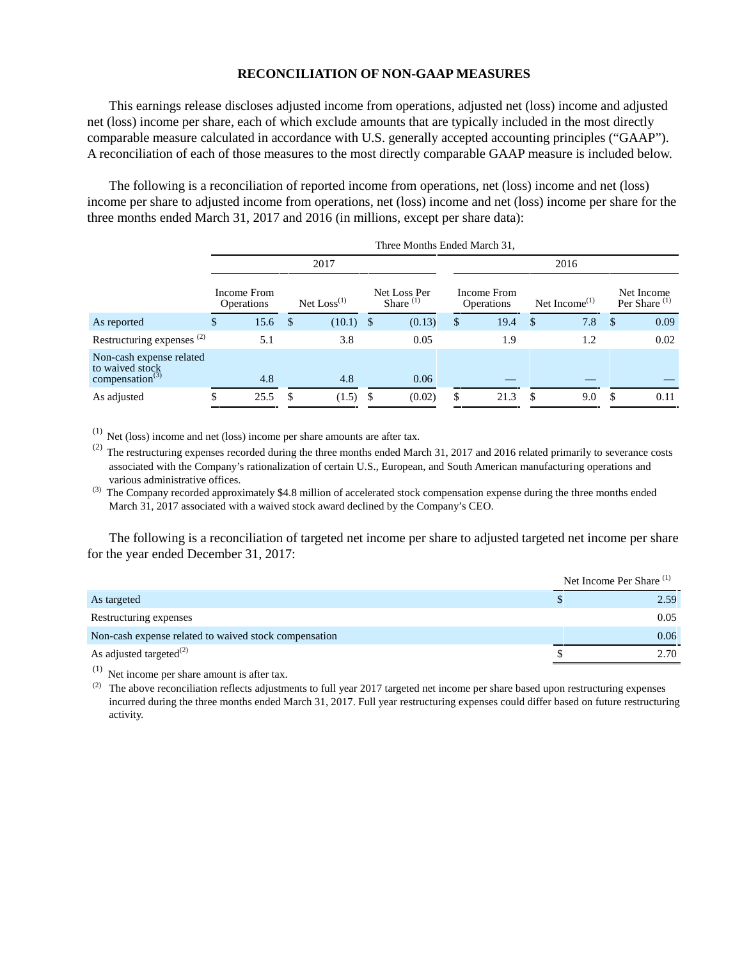#### **RECONCILIATION OF NON-GAAP MEASURES**

This earnings release discloses adjusted income from operations, adjusted net (loss) income and adjusted net (loss) income per share, each of which exclude amounts that are typically included in the most directly comparable measure calculated in accordance with U.S. generally accepted accounting principles ("GAAP"). A reconciliation of each of those measures to the most directly comparable GAAP measure is included below.

The following is a reconciliation of reported income from operations, net (loss) income and net (loss) income per share to adjusted income from operations, net (loss) income and net (loss) income per share for the three months ended March 31, 2017 and 2016 (in millions, except per share data):

|                                                                      |                           |     |               |      | Three Months Ended March 31, |    |      |     |      |     |      |  |  |  |  |  |  |  |                                  |  |                  |  |                                        |
|----------------------------------------------------------------------|---------------------------|-----|---------------|------|------------------------------|----|------|-----|------|-----|------|--|--|--|--|--|--|--|----------------------------------|--|------------------|--|----------------------------------------|
|                                                                      | 2017                      |     |               |      |                              |    |      |     | 2016 |     |      |  |  |  |  |  |  |  |                                  |  |                  |  |                                        |
|                                                                      | Income From<br>Operations |     | Net $Loss(1)$ |      | Net Loss Per<br>Share $(1)$  |    |      |     |      |     |      |  |  |  |  |  |  |  | Income From<br><b>Operations</b> |  | Net Income $(1)$ |  | Net Income<br>Per Share <sup>(1)</sup> |
| As reported                                                          | \$<br>15.6                | -\$ | (10.1)        | - \$ | (0.13)                       | \$ | 19.4 | -\$ | 7.8  | -\$ | 0.09 |  |  |  |  |  |  |  |                                  |  |                  |  |                                        |
| Restructuring expenses <sup>(2)</sup>                                | 5.1                       |     | 3.8           |      | 0.05                         |    | 1.9  |     | 1.2  |     | 0.02 |  |  |  |  |  |  |  |                                  |  |                  |  |                                        |
| Non-cash expense related<br>to waived stock<br>compensation $^{(3)}$ | 4.8                       |     | 4.8           |      | 0.06                         |    |      |     |      |     |      |  |  |  |  |  |  |  |                                  |  |                  |  |                                        |
| As adjusted                                                          | 25.5                      |     | (1.5)         | -S   | (0.02)                       | S  | 21.3 | £.  | 9.0  |     | 0.11 |  |  |  |  |  |  |  |                                  |  |                  |  |                                        |

 $(1)$  Net (loss) income and net (loss) income per share amounts are after tax.

 $^{(2)}$  The restructuring expenses recorded during the three months ended March 31, 2017 and 2016 related primarily to severance costs associated with the Company's rationalization of certain U.S., European, and South American manufacturing operations and various administrative offices.

<sup>(3)</sup> The Company recorded approximately \$4.8 million of accelerated stock compensation expense during the three months ended March 31, 2017 associated with a waived stock award declined by the Company's CEO.

The following is a reconciliation of targeted net income per share to adjusted targeted net income per share for the year ended December 31, 2017:

|                                                       | Net Income Per Share <sup>(1)</sup> |
|-------------------------------------------------------|-------------------------------------|
| As targeted                                           | 2.59                                |
| Restructuring expenses                                | 0.05                                |
| Non-cash expense related to waived stock compensation | 0.06                                |
| As adjusted targeted $^{(2)}$                         | 2.70                                |
| (1)                                                   |                                     |

 $(1)$  Net income per share amount is after tax.

 $^{(2)}$  The above reconciliation reflects adjustments to full year 2017 targeted net income per share based upon restructuring expenses incurred during the three months ended March 31, 2017. Full year restructuring expenses could differ based on future restructuring activity.